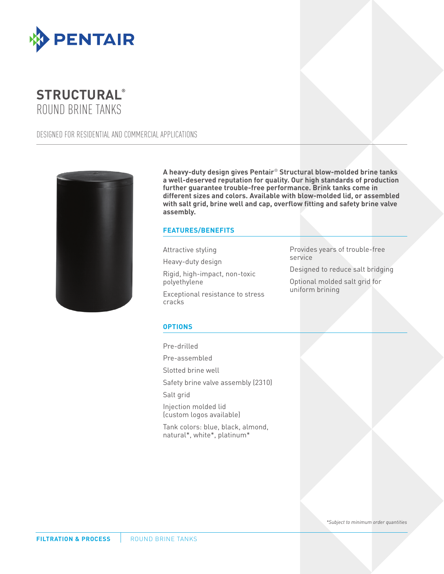



DESIGNED FOR RESIDENTIAL AND COMMERCIAL APPLICATIONS



**A heavy-duty design gives Pentair**® **Structural blow-molded brine tanks a well-deserved reputation for quality. Our high standards of production further guarantee trouble-free performance. Brink tanks come in different sizes and colors. Available with blow-molded lid, or assembled with salt grid, brine well and cap, overflow fitting and safety brine valve assembly.**

### **FEATURES/BENEFITS**

Attractive styling

Heavy-duty design

Rigid, high-impact, non-toxic polyethylene

Exceptional resistance to stress cracks

Provides years of trouble-free service

Designed to reduce salt bridging

Optional molded salt grid for uniform brining

#### **OPTIONS**

Pre-drilled

Pre-assembled

Slotted brine well

Safety brine valve assembly (2310)

Salt grid

Injection molded lid (custom logos available)

Tank colors: blue, black, almond, natural\*, white\*, platinum\*

*\*Subject to minimum order quantities*